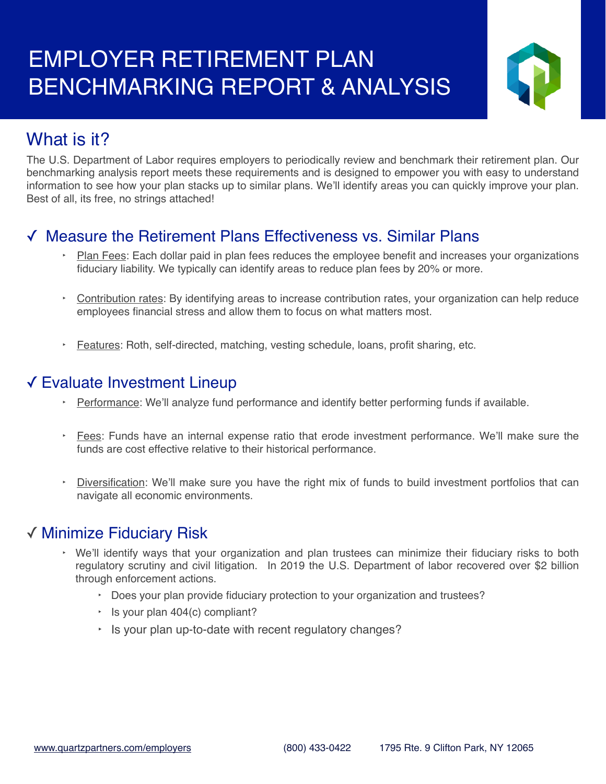

# What is it?

The U.S. Department of Labor requires employers to periodically review and benchmark their retirement plan. Our benchmarking analysis report meets these requirements and is designed to empower you with easy to understand information to see how your plan stacks up to similar plans. We'll identify areas you can quickly improve your plan. Best of all, its free, no strings attached!

## ✓ Measure the Retirement Plans Effectiveness vs. Similar Plans

- Plan Fees: Each dollar paid in plan fees reduces the employee benefit and increases your organizations fiduciary liability. We typically can identify areas to reduce plan fees by 20% or more.
- Contribution rates: By identifying areas to increase contribution rates, your organization can help reduce employees financial stress and allow them to focus on what matters most.
- ‣ Features: Roth, self-directed, matching, vesting schedule, loans, profit sharing, etc.

### ✓ Evaluate Investment Lineup

- ‣ Performance: We'll analyze fund performance and identify better performing funds if available.
- **Ees:** Funds have an internal expense ratio that erode investment performance. We'll make sure the funds are cost effective relative to their historical performance.
- ‣ Diversification: We'll make sure you have the right mix of funds to build investment portfolios that can navigate all economic environments.

### ✓ Minimize Fiduciary Risk

- ‣ We'll identify ways that your organization and plan trustees can minimize their fiduciary risks to both regulatory scrutiny and civil litigation. In 2019 the U.S. Department of labor recovered over \$2 billion through enforcement actions.
	- ‣ Does your plan provide fiduciary protection to your organization and trustees?
	- $\cdot$  Is your plan 404(c) compliant?
	- ‣ Is your plan up-to-date with recent regulatory changes?